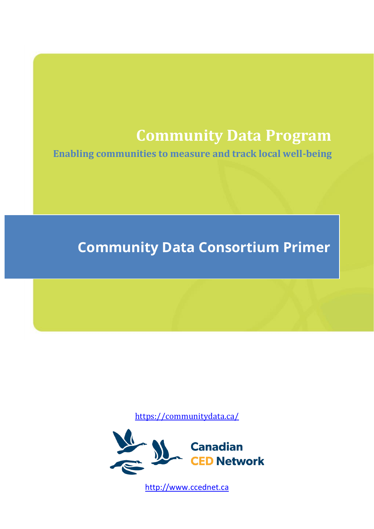# **Community Data Program**

**Enabling communities to measure and track local well-being**

# **Community Data Consortium Primer**

<https://communitydata.ca/>



[http://www.ccednet.ca](http://www.ccednet.ca/)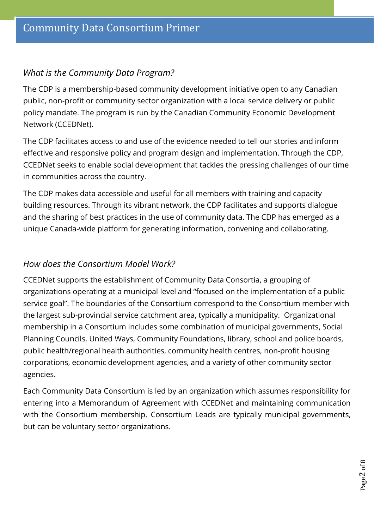## *What is the Community Data Program?*

The CDP is a membership-based community development initiative open to any Canadian public, non-profit or community sector organization with a local service delivery or public policy mandate. The program is run by the Canadian Community Economic Development Network (CCEDNet).

The CDP facilitates access to and use of the evidence needed to tell our stories and inform effective and responsive policy and program design and implementation. Through the CDP, CCEDNet seeks to enable social development that tackles the pressing challenges of our time in communities across the country.

The CDP makes data accessible and useful for all members with training and capacity building resources. Through its vibrant network, the CDP facilitates and supports dialogue and the sharing of best practices in the use of community data. The CDP has emerged as a unique Canada-wide platform for generating information, convening and collaborating.

## *How does the Consortium Model Work?*

CCEDNet supports the establishment of Community Data Consortia, a grouping of organizations operating at a municipal level and "focused on the implementation of a public service goal". The boundaries of the Consortium correspond to the Consortium member with the largest sub-provincial service catchment area, typically a municipality. Organizational membership in a Consortium includes some combination of municipal governments, Social Planning Councils, United Ways, Community Foundations, library, school and police boards, public health/regional health authorities, community health centres, non-profit housing corporations, economic development agencies, and a variety of other community sector agencies.

Each Community Data Consortium is led by an organization which assumes responsibility for entering into a Memorandum of Agreement with CCEDNet and maintaining communication with the Consortium membership. Consortium Leads are typically municipal governments, but can be voluntary sector organizations.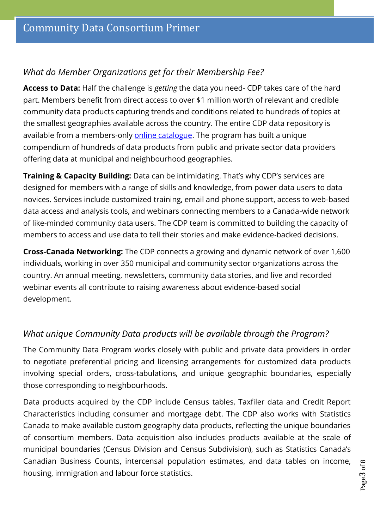## *What do Member Organizations get for their Membership Fee?*

**Access to Data:** Half the challenge is *getting* the data you need- CDP takes care of the hard part. Members benefit from direct access to over \$1 million worth of relevant and credible community data products capturing trends and conditions related to hundreds of topics at the smallest geographies available across the country. The entire CDP data repository is available from a members-only [online catalogue.](https://communitydata.ca/data) The program has built a unique compendium of hundreds of data products from public and private sector data providers offering data at municipal and neighbourhood geographies.

**Training & Capacity Building:** Data can be intimidating. That's why CDP's services are designed for members with a range of skills and knowledge, from power data users to data novices. Services include customized training, email and phone support, access to web-based data access and analysis tools, and webinars connecting members to a Canada-wide network of like-minded community data users. The CDP team is committed to building the capacity of members to access and use data to tell their stories and make evidence-backed decisions.

**Cross-Canada Networking:** The CDP connects a growing and dynamic network of over 1,600 individuals, working in over 350 municipal and community sector organizations across the country. An annual meeting, newsletters, community data stories, and live and recorded webinar events all contribute to raising awareness about evidence-based social development.

## *What unique Community Data products will be available through the Program?*

The Community Data Program works closely with public and private data providers in order to negotiate preferential pricing and licensing arrangements for customized data products involving special orders, cross-tabulations, and unique geographic boundaries, especially those corresponding to neighbourhoods.

Data products acquired by the CDP include Census tables, Taxfiler data and Credit Report Characteristics including consumer and mortgage debt. The CDP also works with Statistics Canada to make available custom geography data products, reflecting the unique boundaries of consortium members. Data acquisition also includes products available at the scale of municipal boundaries (Census Division and Census Subdivision), such as Statistics Canada's Canadian Business Counts, intercensal population estimates, and data tables on income, housing, immigration and labour force statistics.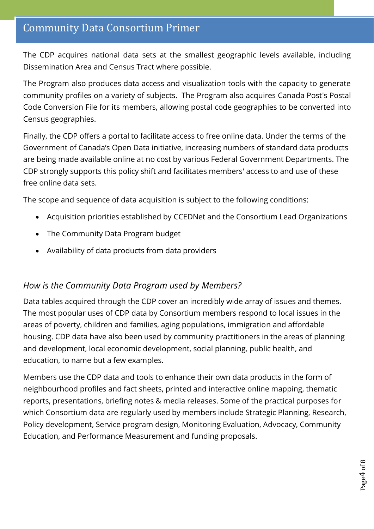# Community Data Consortium Primer

The CDP acquires national data sets at the smallest geographic levels available, including Dissemination Area and Census Tract where possible.

The Program also produces data access and visualization tools with the capacity to generate community profiles on a variety of subjects. The Program also acquires Canada Post's Postal Code Conversion File for its members, allowing postal code geographies to be converted into Census geographies.

Finally, the CDP offers a portal to facilitate access to free online data. Under the terms of the Government of Canada's Open Data initiative, increasing numbers of standard data products are being made available online at no cost by various Federal Government Departments. The CDP strongly supports this policy shift and facilitates members' access to and use of these free online data sets.

The scope and sequence of data acquisition is subject to the following conditions:

- Acquisition priorities established by CCEDNet and the Consortium Lead Organizations
- The Community Data Program budget
- Availability of data products from data providers

#### *How is the Community Data Program used by Members?*

Data tables acquired through the CDP cover an incredibly wide array of issues and themes. The most popular uses of CDP data by Consortium members respond to local issues in the areas of poverty, children and families, aging populations, immigration and affordable housing. CDP data have also been used by community practitioners in the areas of planning and development, local economic development, social planning, public health, and education, to name but a few examples.

Members use the CDP data and tools to enhance their own data products in the form of neighbourhood profiles and fact sheets, printed and interactive online mapping, thematic reports, presentations, briefing notes & media releases. Some of the practical purposes for which Consortium data are regularly used by members include Strategic Planning, Research, Policy development, Service program design, Monitoring Evaluation, Advocacy, Community Education, and Performance Measurement and funding proposals.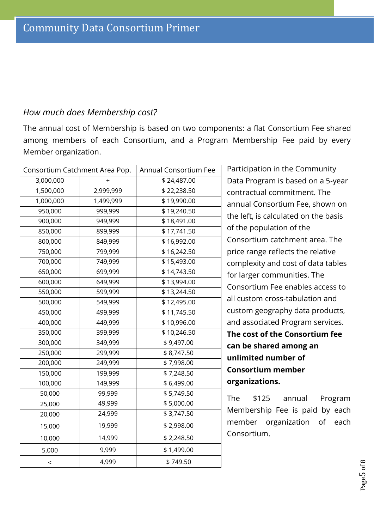#### *How much does Membership cost?*

The annual cost of Membership is based on two components: a flat Consortium Fee shared among members of each Consortium, and a Program Membership Fee paid by every Member organization.

| Consortium Catchment Area Pop. |           | Annual Consortium Fee |
|--------------------------------|-----------|-----------------------|
| 3,000,000                      | $\ddot{}$ | \$24,487.00           |
| 1,500,000                      | 2,999,999 | \$22,238.50           |
| 1,000,000                      | 1,499,999 | \$19,990.00           |
| 950,000                        | 999,999   | \$19,240.50           |
| 900,000                        | 949,999   | \$18,491.00           |
| 850,000                        | 899,999   | \$17,741.50           |
| 800,000                        | 849,999   | \$16,992.00           |
| 750,000                        | 799,999   | \$16,242.50           |
| 700,000                        | 749,999   | \$15,493.00           |
| 650,000                        | 699,999   | \$14,743.50           |
| 600,000                        | 649,999   | \$13,994.00           |
| 550,000                        | 599,999   | \$13,244.50           |
| 500,000                        | 549,999   | \$12,495.00           |
| 450,000                        | 499,999   | \$11,745.50           |
| 400,000                        | 449,999   | \$10,996.00           |
| 350,000                        | 399,999   | \$10,246.50           |
| 300,000                        | 349,999   | \$9,497.00            |
| 250,000                        | 299,999   | \$8,747.50            |
| 200,000                        | 249,999   | \$7,998.00            |
| 150,000                        | 199,999   | \$7,248.50            |
| 100,000                        | 149,999   | \$6,499.00            |
| 50,000                         | 99,999    | \$5,749.50            |
| 25,000                         | 49,999    | \$5,000.00            |
| 20,000                         | 24,999    | \$3,747.50            |
| 15,000                         | 19,999    | \$2,998.00            |
| 10,000                         | 14,999    | \$2,248.50            |
| 5,000                          | 9,999     | \$1,499.00            |
| $\,<$                          | 4,999     | \$749.50              |

Participation in the Community Data Program is based on a 5-year contractual commitment. The annual Consortium Fee, shown on the left, is calculated on the basis of the population of the Consortium catchment area. The price range reflects the relative complexity and cost of data tables for larger communities. The Consortium Fee enables access to all custom cross-tabulation and custom geography data products, and associated Program services. **The cost of the Consortium fee can be shared among an unlimited number of Consortium member organizations.**

The \$125 annual Program Membership Fee is paid by each member organization of each Consortium.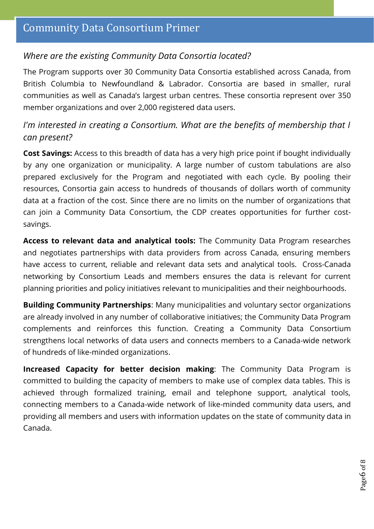## *Where are the existing Community Data Consortia located?*

The Program supports over 30 Community Data Consortia established across Canada, from British Columbia to Newfoundland & Labrador. Consortia are based in smaller, rural communities as well as Canada's largest urban centres. These consortia represent over 350 member organizations and over 2,000 registered data users.

## *I'm interested in creating a Consortium. What are the benefits of membership that I can present?*

**Cost Savings:** Access to this breadth of data has a very high price point if bought individually by any one organization or municipality. A large number of custom tabulations are also prepared exclusively for the Program and negotiated with each cycle. By pooling their resources, Consortia gain access to hundreds of thousands of dollars worth of community data at a fraction of the cost. Since there are no limits on the number of organizations that can join a Community Data Consortium, the CDP creates opportunities for further costsavings.

**Access to relevant data and analytical tools:** The Community Data Program researches and negotiates partnerships with data providers from across Canada, ensuring members have access to current, reliable and relevant data sets and analytical tools. Cross-Canada networking by Consortium Leads and members ensures the data is relevant for current planning priorities and policy initiatives relevant to municipalities and their neighbourhoods.

**Building Community Partnerships**: Many municipalities and voluntary sector organizations are already involved in any number of collaborative initiatives; the Community Data Program complements and reinforces this function. Creating a Community Data Consortium strengthens local networks of data users and connects members to a Canada-wide network of hundreds of like-minded organizations.

**Increased Capacity for better decision making**: The Community Data Program is committed to building the capacity of members to make use of complex data tables. This is achieved through formalized training, email and telephone support, analytical tools, connecting members to a Canada-wide network of like-minded community data users, and providing all members and users with information updates on the state of community data in Canada.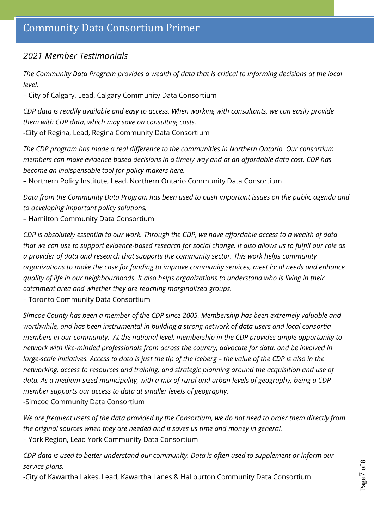# Community Data Consortium Primer

### *2021 Member Testimonials*

*The Community Data Program provides a wealth of data that is critical to informing decisions at the local level.* 

– City of Calgary, Lead, Calgary Community Data Consortium

*CDP data is readily available and easy to access. When working with consultants, we can easily provide them with CDP data, which may save on consulting costs.* 

-City of Regina, Lead, Regina Community Data Consortium

*The CDP program has made a real difference to the communities in Northern Ontario. Our consortium members can make evidence-based decisions in a timely way and at an affordable data cost. CDP has become an indispensable tool for policy makers here.* 

– Northern Policy Institute, Lead, Northern Ontario Community Data Consortium

*Data from the Community Data Program has been used to push important issues on the public agenda and to developing important policy solutions.*

– Hamilton Community Data Consortium

*CDP is absolutely essential to our work. Through the CDP, we have affordable access to a wealth of data that we can use to support evidence-based research for social change. It also allows us to fulfill our role as a provider of data and research that supports the community sector. This work helps community organizations to make the case for funding to improve community services, meet local needs and enhance quality of life in our neighbourhoods. It also helps organizations to understand who is living in their catchment area and whether they are reaching marginalized groups.*

– Toronto Community Data Consortium

*Simcoe County has been a member of the CDP since 2005. Membership has been extremely valuable and worthwhile, and has been instrumental in building a strong network of data users and local consortia members in our community. At the national level, membership in the CDP provides ample opportunity to network with like-minded professionals from across the country, advocate for data, and be involved in large-scale initiatives. Access to data is just the tip of the iceberg – the value of the CDP is also in the networking, access to resources and training, and strategic planning around the acquisition and use of data. As a medium-sized municipality, with a mix of rural and urban levels of geography, being a CDP member supports our access to data at smaller levels of geography.*  -Simcoe Community Data Consortium

*We are frequent users of the data provided by the Consortium, we do not need to order them directly from the original sources when they are needed and it saves us time and money in general.*  – York Region, Lead York Community Data Consortium

*CDP data is used to better understand our community. Data is often used to supplement or inform our service plans.* 

-City of Kawartha Lakes, Lead, Kawartha Lanes & Haliburton Community Data Consortium